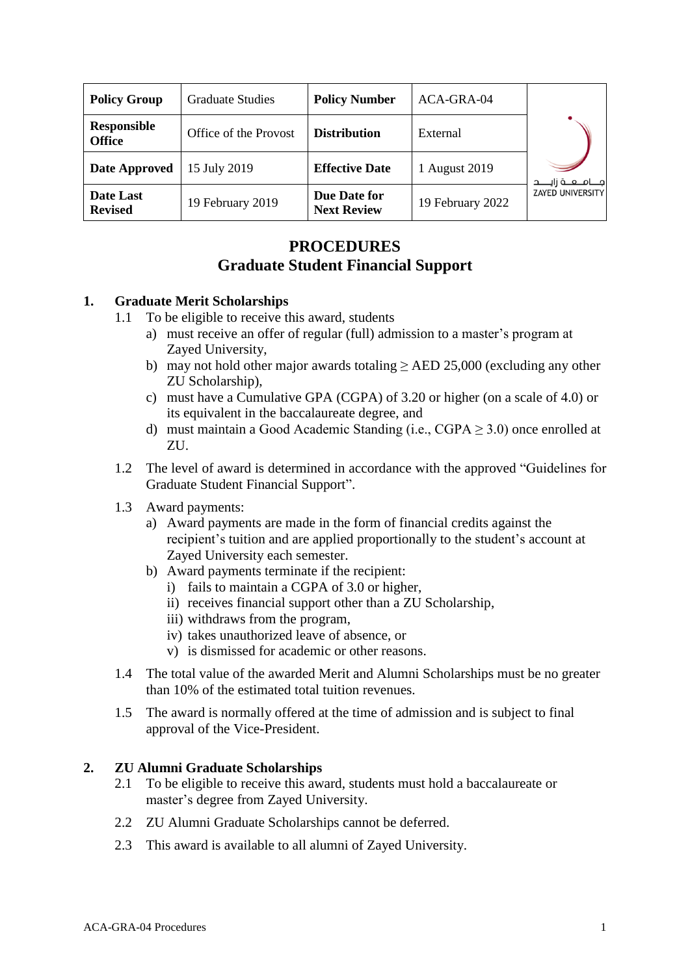| <b>Policy Group</b>                 | <b>Graduate Studies</b> | <b>Policy Number</b>               | ACA-GRA-04       |                          |
|-------------------------------------|-------------------------|------------------------------------|------------------|--------------------------|
| <b>Responsible</b><br><b>Office</b> | Office of the Provost   | <b>Distribution</b>                | External         |                          |
| <b>Date Approved</b>                | 15 July 2019            | <b>Effective Date</b>              | 1 August 2019    | جــــامــــعــــة زايـــ |
| Date Last<br><b>Revised</b>         | 19 February 2019        | Due Date for<br><b>Next Review</b> | 19 February 2022 | <b>ZAYED UNIVERSITY</b>  |

# **PROCEDURES Graduate Student Financial Support**

### **1. Graduate Merit Scholarships**

- 1.1 To be eligible to receive this award, students
	- a) must receive an offer of regular (full) admission to a master's program at Zayed University,
	- b) may not hold other major awards totaling ≥ AED 25,000 (excluding any other ZU Scholarship),
	- c) must have a Cumulative GPA (CGPA) of 3.20 or higher (on a scale of 4.0) or its equivalent in the baccalaureate degree, and
	- d) must maintain a Good Academic Standing (i.e.,  $CGPA > 3.0$ ) once enrolled at ZU.
- 1.2 The level of award is determined in accordance with the approved "Guidelines for Graduate Student Financial Support".
- 1.3 Award payments:
	- a) Award payments are made in the form of financial credits against the recipient's tuition and are applied proportionally to the student's account at Zayed University each semester.
	- b) Award payments terminate if the recipient:
		- i) fails to maintain a CGPA of 3.0 or higher,
		- ii) receives financial support other than a ZU Scholarship,
		- iii) withdraws from the program,
		- iv) takes unauthorized leave of absence, or
		- v) is dismissed for academic or other reasons.
- 1.4 The total value of the awarded Merit and Alumni Scholarships must be no greater than 10% of the estimated total tuition revenues.
- 1.5 The award is normally offered at the time of admission and is subject to final approval of the Vice-President.

### **2. ZU Alumni Graduate Scholarships**

- 2.1 To be eligible to receive this award, students must hold a baccalaureate or master's degree from Zayed University.
- 2.2 ZU Alumni Graduate Scholarships cannot be deferred.
- 2.3 This award is available to all alumni of Zayed University.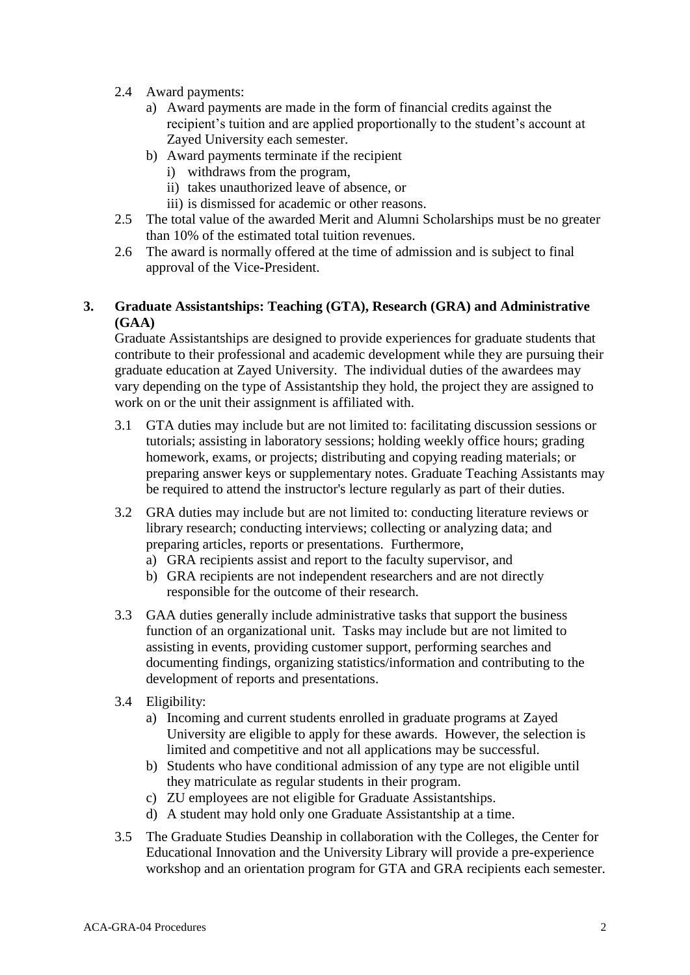- 2.4 Award payments:
	- a) Award payments are made in the form of financial credits against the recipient's tuition and are applied proportionally to the student's account at Zayed University each semester.
	- b) Award payments terminate if the recipient
		- i) withdraws from the program,
		- ii) takes unauthorized leave of absence, or
		- iii) is dismissed for academic or other reasons.
- 2.5 The total value of the awarded Merit and Alumni Scholarships must be no greater than 10% of the estimated total tuition revenues.
- 2.6 The award is normally offered at the time of admission and is subject to final approval of the Vice-President.

# **3. Graduate Assistantships: Teaching (GTA), Research (GRA) and Administrative (GAA)**

Graduate Assistantships are designed to provide experiences for graduate students that contribute to their professional and academic development while they are pursuing their graduate education at Zayed University. The individual duties of the awardees may vary depending on the type of Assistantship they hold, the project they are assigned to work on or the unit their assignment is affiliated with.

- 3.1 GTA duties may include but are not limited to: facilitating discussion sessions or tutorials; assisting in laboratory sessions; holding weekly office hours; grading homework, exams, or projects; distributing and copying reading materials; or preparing answer keys or supplementary notes. Graduate Teaching Assistants may be required to attend the instructor's lecture regularly as part of their duties.
- 3.2 GRA duties may include but are not limited to: conducting literature reviews or library research; conducting interviews; collecting or analyzing data; and preparing articles, reports or presentations. Furthermore,
	- a) GRA recipients assist and report to the faculty supervisor, and
	- b) GRA recipients are not independent researchers and are not directly responsible for the outcome of their research.
- 3.3 GAA duties generally include administrative tasks that support the business function of an organizational unit. Tasks may include but are not limited to assisting in events, providing customer support, performing searches and documenting findings, organizing statistics/information and contributing to the development of reports and presentations.
- 3.4 Eligibility:
	- a) Incoming and current students enrolled in graduate programs at Zayed University are eligible to apply for these awards. However, the selection is limited and competitive and not all applications may be successful.
	- b) Students who have conditional admission of any type are not eligible until they matriculate as regular students in their program.
	- c) ZU employees are not eligible for Graduate Assistantships.
	- d) A student may hold only one Graduate Assistantship at a time.
- 3.5 The Graduate Studies Deanship in collaboration with the Colleges, the Center for Educational Innovation and the University Library will provide a pre-experience workshop and an orientation program for GTA and GRA recipients each semester.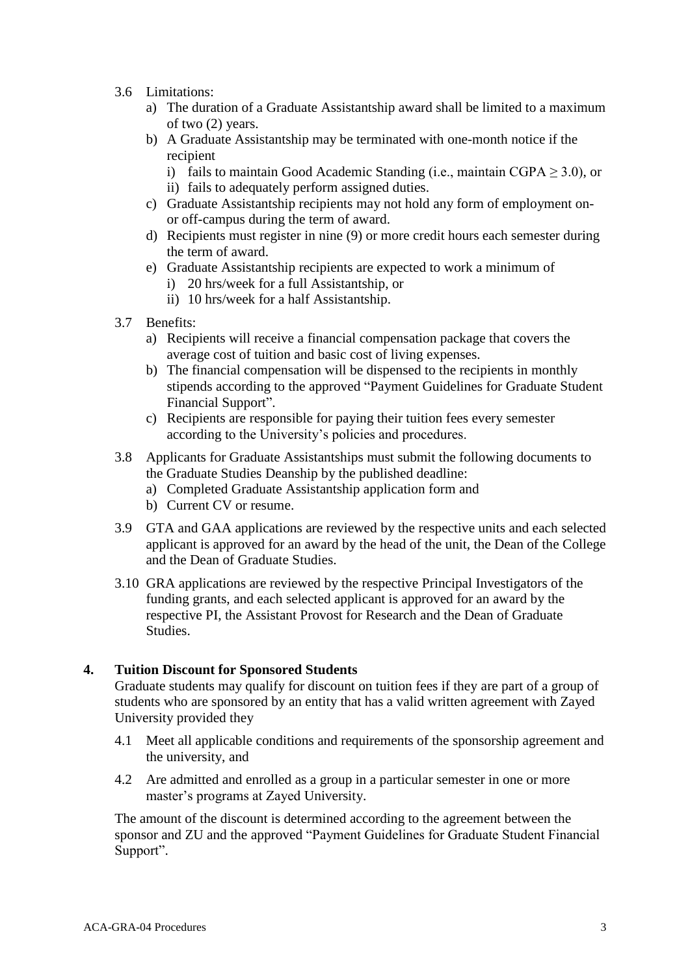- 3.6 Limitations:
	- a) The duration of a Graduate Assistantship award shall be limited to a maximum of two (2) years.
	- b) A Graduate Assistantship may be terminated with one-month notice if the recipient
		- i) fails to maintain Good Academic Standing (i.e., maintain  $CGPA \geq 3.0$ ), or
		- ii) fails to adequately perform assigned duties.
	- c) Graduate Assistantship recipients may not hold any form of employment onor off-campus during the term of award.
	- d) Recipients must register in nine (9) or more credit hours each semester during the term of award.
	- e) Graduate Assistantship recipients are expected to work a minimum of
		- i) 20 hrs/week for a full Assistantship, or
		- ii) 10 hrs/week for a half Assistantship.
- 3.7 Benefits:
	- a) Recipients will receive a financial compensation package that covers the average cost of tuition and basic cost of living expenses.
	- b) The financial compensation will be dispensed to the recipients in monthly stipends according to the approved "Payment Guidelines for Graduate Student Financial Support".
	- c) Recipients are responsible for paying their tuition fees every semester according to the University's policies and procedures.
- 3.8 Applicants for Graduate Assistantships must submit the following documents to the Graduate Studies Deanship by the published deadline:
	- a) Completed Graduate Assistantship application form and
	- b) Current CV or resume.
- 3.9 GTA and GAA applications are reviewed by the respective units and each selected applicant is approved for an award by the head of the unit, the Dean of the College and the Dean of Graduate Studies.
- 3.10 GRA applications are reviewed by the respective Principal Investigators of the funding grants, and each selected applicant is approved for an award by the respective PI, the Assistant Provost for Research and the Dean of Graduate Studies.

#### **4. Tuition Discount for Sponsored Students**

Graduate students may qualify for discount on tuition fees if they are part of a group of students who are sponsored by an entity that has a valid written agreement with Zayed University provided they

- 4.1 Meet all applicable conditions and requirements of the sponsorship agreement and the university, and
- 4.2 Are admitted and enrolled as a group in a particular semester in one or more master's programs at Zayed University.

The amount of the discount is determined according to the agreement between the sponsor and ZU and the approved "Payment Guidelines for Graduate Student Financial Support".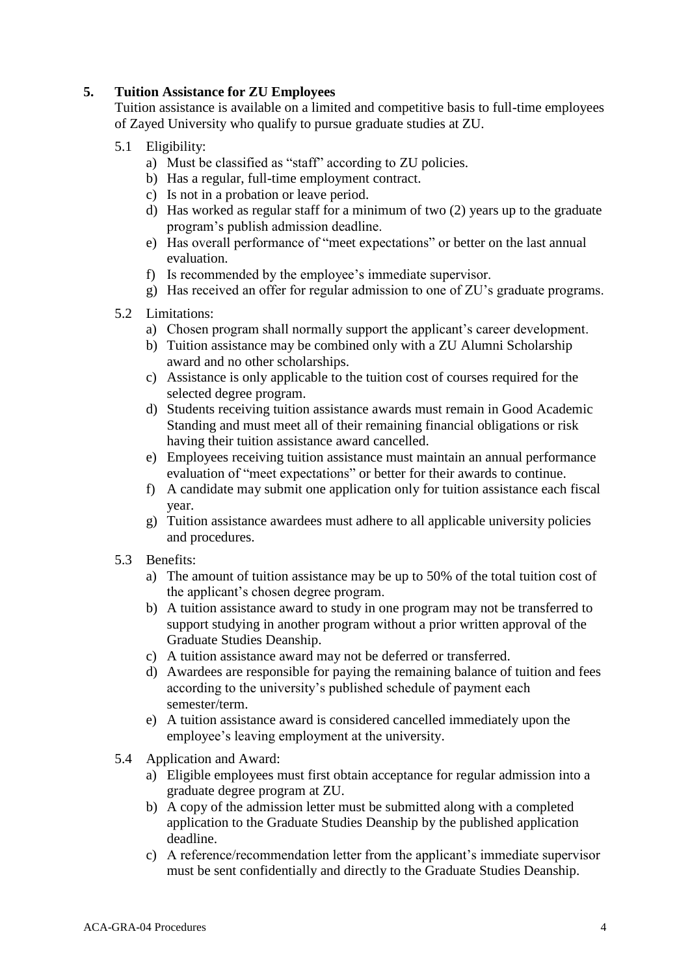# **5. Tuition Assistance for ZU Employees**

Tuition assistance is available on a limited and competitive basis to full-time employees of Zayed University who qualify to pursue graduate studies at ZU.

- 5.1 Eligibility:
	- a) Must be classified as "staff" according to ZU policies.
	- b) Has a regular, full-time employment contract.
	- c) Is not in a probation or leave period.
	- d) Has worked as regular staff for a minimum of two (2) years up to the graduate program's publish admission deadline.
	- e) Has overall performance of "meet expectations" or better on the last annual evaluation.
	- f) Is recommended by the employee's immediate supervisor.
	- g) Has received an offer for regular admission to one of ZU's graduate programs.
- 5.2 Limitations:
	- a) Chosen program shall normally support the applicant's career development.
	- b) Tuition assistance may be combined only with a ZU Alumni Scholarship award and no other scholarships.
	- c) Assistance is only applicable to the tuition cost of courses required for the selected degree program.
	- d) Students receiving tuition assistance awards must remain in Good Academic Standing and must meet all of their remaining financial obligations or risk having their tuition assistance award cancelled.
	- e) Employees receiving tuition assistance must maintain an annual performance evaluation of "meet expectations" or better for their awards to continue.
	- f) A candidate may submit one application only for tuition assistance each fiscal year.
	- g) Tuition assistance awardees must adhere to all applicable university policies and procedures.
- 5.3 Benefits:
	- a) The amount of tuition assistance may be up to 50% of the total tuition cost of the applicant's chosen degree program.
	- b) A tuition assistance award to study in one program may not be transferred to support studying in another program without a prior written approval of the Graduate Studies Deanship.
	- c) A tuition assistance award may not be deferred or transferred.
	- d) Awardees are responsible for paying the remaining balance of tuition and fees according to the university's published schedule of payment each semester/term.
	- e) A tuition assistance award is considered cancelled immediately upon the employee's leaving employment at the university.
- 5.4 Application and Award:
	- a) Eligible employees must first obtain acceptance for regular admission into a graduate degree program at ZU.
	- b) A copy of the admission letter must be submitted along with a completed application to the Graduate Studies Deanship by the published application deadline.
	- c) A reference/recommendation letter from the applicant's immediate supervisor must be sent confidentially and directly to the Graduate Studies Deanship.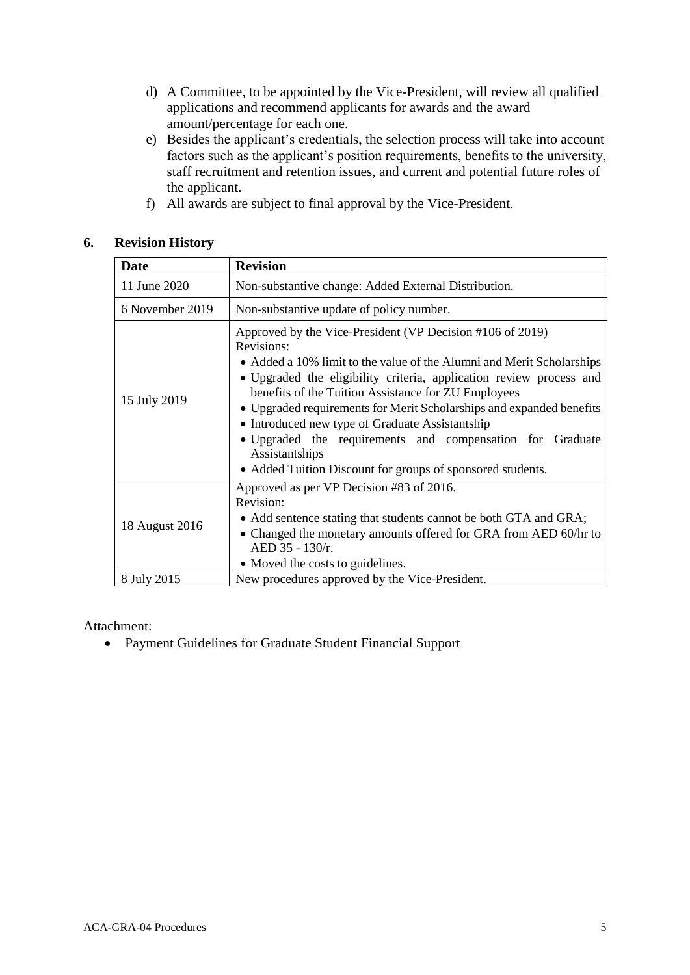- d) A Committee, to be appointed by the Vice-President, will review all qualified applications and recommend applicants for awards and the award amount/percentage for each one.
- e) Besides the applicant's credentials, the selection process will take into account factors such as the applicant's position requirements, benefits to the university, staff recruitment and retention issues, and current and potential future roles of the applicant.
- f) All awards are subject to final approval by the Vice-President.

### **6. Revision History**

| Date            | <b>Revision</b>                                                                                                                                                                                                                                                                                                                                                                                                                                                                                                                                        |  |  |
|-----------------|--------------------------------------------------------------------------------------------------------------------------------------------------------------------------------------------------------------------------------------------------------------------------------------------------------------------------------------------------------------------------------------------------------------------------------------------------------------------------------------------------------------------------------------------------------|--|--|
| 11 June 2020    | Non-substantive change: Added External Distribution.                                                                                                                                                                                                                                                                                                                                                                                                                                                                                                   |  |  |
| 6 November 2019 | Non-substantive update of policy number.                                                                                                                                                                                                                                                                                                                                                                                                                                                                                                               |  |  |
| 15 July 2019    | Approved by the Vice-President (VP Decision #106 of 2019)<br>Revisions:<br>• Added a 10% limit to the value of the Alumni and Merit Scholarships<br>• Upgraded the eligibility criteria, application review process and<br>benefits of the Tuition Assistance for ZU Employees<br>• Upgraded requirements for Merit Scholarships and expanded benefits<br>• Introduced new type of Graduate Assistantship<br>· Upgraded the requirements and compensation for Graduate<br>Assistantships<br>• Added Tuition Discount for groups of sponsored students. |  |  |
| 18 August 2016  | Approved as per VP Decision #83 of 2016.<br>Revision:<br>• Add sentence stating that students cannot be both GTA and GRA;<br>• Changed the monetary amounts offered for GRA from AED 60/hr to<br>AED 35 - 130/r.<br>• Moved the costs to guidelines.                                                                                                                                                                                                                                                                                                   |  |  |
| 8 July 2015     | New procedures approved by the Vice-President.                                                                                                                                                                                                                                                                                                                                                                                                                                                                                                         |  |  |

Attachment:

• Payment Guidelines for Graduate Student Financial Support